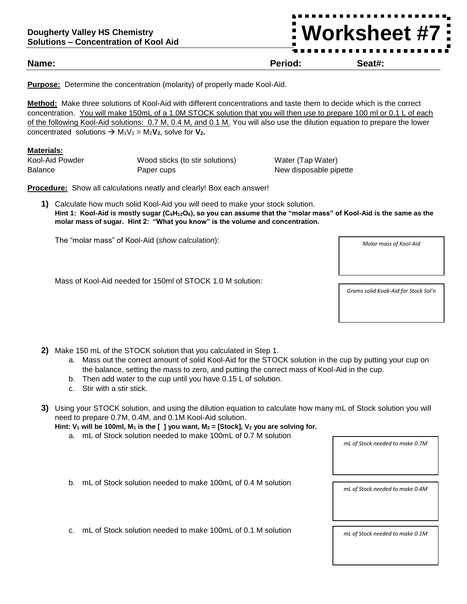**Purpose:** Determine the concentration (molarity) of properly made Kool-Aid.

**Method:** Make three solutions of Kool-Aid with different concentrations and taste them to decide which is the correct concentration. You will make 150mL of a 1.0M STOCK solution that you will then use to prepare 100 ml or 0.1 L of each of the following Kool-Aid solutions: 0.7 M, 0.4 M, and 0.1 M. You will also use the dilution equation to prepare the lower concentrated solutions  $\rightarrow M_1V_1 = M_2V_2$ , solve for  $V_2$ .

## **Materials:**

Kool-Aid Powder Wood sticks (to stir solutions) Water (Tap Water) Balance **Paper cups Paper CUPS New disposable pipette New disposable pipette** 

**Procedure:** Show all calculations neatly and clearly! Box each answer!

**1)** Calculate how much solid Kool-Aid you will need to make your stock solution. **Hint 1: Kool-Aid is mostly sugar (C6H12O6), so you can assume that the "molar mass" of Kool-Aid is the same as the molar mass of sugar. Hint 2: "What you know" is the volume and concentration.**

The "molar mass" of Kool-Aid (*show calculation*):

Mass of Kool-Aid needed for 150ml of STOCK 1.0 M solution:

- **2)** Make 150 mL of the STOCK solution that you calculated in Step 1.
	- a. Mass out the correct amount of solid Kool-Aid for the STOCK solution in the cup by putting your cup on the balance, setting the mass to zero, and putting the correct mass of Kool-Aid in the cup.
	- b. Then add water to the cup until you have 0.15 L of solution.
	- c. Stir with a stir stick.
- **3)** Using your STOCK solution, and using the dilution equation to calculate how many mL of Stock solution you will need to prepare 0.7M, 0.4M, and 0.1M Kool-Aid solution.

**Hint:**  $V_1$  will be 100ml,  $M_1$  is the  $\lceil \cdot \rceil$  you want,  $M_2$  = [Stock],  $V_2$  you are solving for. a. mL of Stock solution needed to make 100mL of 0.7 M solution

b. mL of Stock solution needed to make 100mL of 0.4 M solution

c. mL of Stock solution needed to make 100mL of 0.1 M solution

*Molar mass of Kool-Aid*

*Grams solid Kook-Aid for Stock Sol'n*

*mL of Stock needed to make 0.7M* 

*mL of Stock needed to make 0.4M* 

**Name: Period: Seat#:**

**Worksheet #7**

*mL of Stock needed to make 0.1M*